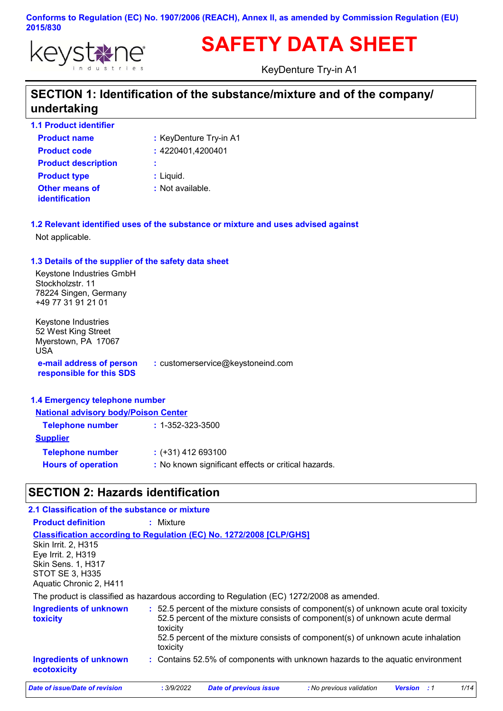

# **SAFETY DATA SHEET**

KeyDenture Try-in A1

### **SECTION 1: Identification of the substance/mixture and of the company/ undertaking**

**1.1 Product identifier**

| <b>Product name</b>                     | : KeyDenture Try-in A1 |
|-----------------------------------------|------------------------|
| <b>Product code</b>                     | : 4220401,4200401      |
| <b>Product description</b>              | ÷                      |
| <b>Product type</b>                     | $:$ Liquid.            |
| Other means of<br><i>identification</i> | : Not available.       |

**1.2 Relevant identified uses of the substance or mixture and uses advised against** Not applicable.

### **1.3 Details of the supplier of the safety data sheet**

Keystone Industries GmbH Stockholzstr. 11 78224 Singen, Germany +49 77 31 91 21 01

**e-mail address of person responsible for this SDS :** customerservice@keystoneind.com Keystone Industries 52 West King Street Myerstown, PA 17067 USA

#### **1.4 Emergency telephone number**

| <b>National advisory body/Poison Center</b>         |  |  |
|-----------------------------------------------------|--|--|
| $: 1 - 352 - 323 - 3500$                            |  |  |
|                                                     |  |  |
| $:$ (+31) 412 693100                                |  |  |
| : No known significant effects or critical hazards. |  |  |
|                                                     |  |  |

### **SECTION 2: Hazards identification**

| 2.1 Classification of the substance or mixture                                                                              |                                                                                                                                                                                                                                                                                   |
|-----------------------------------------------------------------------------------------------------------------------------|-----------------------------------------------------------------------------------------------------------------------------------------------------------------------------------------------------------------------------------------------------------------------------------|
| <b>Product definition</b>                                                                                                   | $:$ Mixture                                                                                                                                                                                                                                                                       |
| <b>Skin Irrit. 2. H315</b><br>Eye Irrit. 2, H319<br>Skin Sens. 1, H317<br><b>STOT SE 3, H335</b><br>Aquatic Chronic 2, H411 | <b>Classification according to Regulation (EC) No. 1272/2008 [CLP/GHS]</b>                                                                                                                                                                                                        |
|                                                                                                                             | The product is classified as hazardous according to Regulation (EC) 1272/2008 as amended.                                                                                                                                                                                         |
| <b>Ingredients of unknown</b><br><b>toxicity</b>                                                                            | : 52.5 percent of the mixture consists of component(s) of unknown acute oral toxicity<br>52.5 percent of the mixture consists of component(s) of unknown acute dermal<br>toxicity<br>52.5 percent of the mixture consists of component(s) of unknown acute inhalation<br>toxicity |
| <b>Ingredients of unknown</b><br>ecotoxicity                                                                                | : Contains 52.5% of components with unknown hazards to the aquatic environment                                                                                                                                                                                                    |
| Date of issue/Date of revision                                                                                              | 1/14<br><b>Date of previous issue</b><br>: No previous validation<br>: 3/9/2022<br><b>Version</b> : 1                                                                                                                                                                             |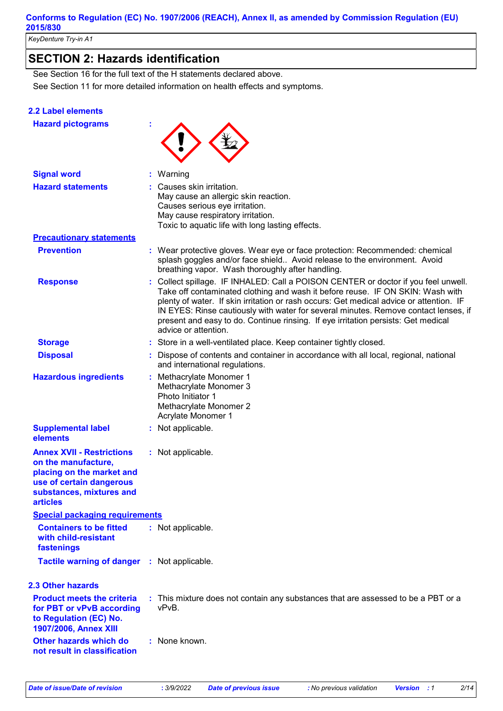*KeyDenture Try-in A1*

### **SECTION 2: Hazards identification**

See Section 11 for more detailed information on health effects and symptoms. See Section 16 for the full text of the H statements declared above.

#### **2.2 Label elements**

| <b>Hazard pictograms</b>                                                                                                                                        |                                                                                                                                                                                                                                                                                                                                                                                                                                                                   |
|-----------------------------------------------------------------------------------------------------------------------------------------------------------------|-------------------------------------------------------------------------------------------------------------------------------------------------------------------------------------------------------------------------------------------------------------------------------------------------------------------------------------------------------------------------------------------------------------------------------------------------------------------|
| <b>Signal word</b>                                                                                                                                              | Warning                                                                                                                                                                                                                                                                                                                                                                                                                                                           |
| <b>Hazard statements</b>                                                                                                                                        | Causes skin irritation.<br>May cause an allergic skin reaction.<br>Causes serious eye irritation.<br>May cause respiratory irritation.<br>Toxic to aquatic life with long lasting effects.                                                                                                                                                                                                                                                                        |
| <b>Precautionary statements</b>                                                                                                                                 |                                                                                                                                                                                                                                                                                                                                                                                                                                                                   |
| <b>Prevention</b>                                                                                                                                               | : Wear protective gloves. Wear eye or face protection: Recommended: chemical<br>splash goggles and/or face shield Avoid release to the environment. Avoid<br>breathing vapor. Wash thoroughly after handling.                                                                                                                                                                                                                                                     |
| <b>Response</b>                                                                                                                                                 | Collect spillage. IF INHALED: Call a POISON CENTER or doctor if you feel unwell.<br>Take off contaminated clothing and wash it before reuse. IF ON SKIN: Wash with<br>plenty of water. If skin irritation or rash occurs: Get medical advice or attention. IF<br>IN EYES: Rinse cautiously with water for several minutes. Remove contact lenses, if<br>present and easy to do. Continue rinsing. If eye irritation persists: Get medical<br>advice or attention. |
| <b>Storage</b>                                                                                                                                                  | Store in a well-ventilated place. Keep container tightly closed.                                                                                                                                                                                                                                                                                                                                                                                                  |
| <b>Disposal</b>                                                                                                                                                 | Dispose of contents and container in accordance with all local, regional, national<br>and international regulations.                                                                                                                                                                                                                                                                                                                                              |
| <b>Hazardous ingredients</b>                                                                                                                                    | : Methacrylate Monomer 1<br>Methacrylate Monomer 3<br>Photo Initiator 1<br>Methacrylate Monomer 2<br>Acrylate Monomer 1                                                                                                                                                                                                                                                                                                                                           |
| <b>Supplemental label</b><br>elements                                                                                                                           | : Not applicable.                                                                                                                                                                                                                                                                                                                                                                                                                                                 |
| <b>Annex XVII - Restrictions</b><br>on the manufacture,<br>placing on the market and<br>use of certain dangerous<br>substances, mixtures and<br><b>articles</b> | : Not applicable.                                                                                                                                                                                                                                                                                                                                                                                                                                                 |
| <b>Special packaging requirements</b>                                                                                                                           |                                                                                                                                                                                                                                                                                                                                                                                                                                                                   |
| <b>Containers to be fitted</b><br>with child-resistant<br>fastenings                                                                                            | : Not applicable.                                                                                                                                                                                                                                                                                                                                                                                                                                                 |
| Tactile warning of danger : Not applicable.                                                                                                                     |                                                                                                                                                                                                                                                                                                                                                                                                                                                                   |
| <b>2.3 Other hazards</b>                                                                                                                                        |                                                                                                                                                                                                                                                                                                                                                                                                                                                                   |
| <b>Product meets the criteria</b><br>for PBT or vPvB according<br>to Regulation (EC) No.<br>1907/2006, Annex XIII                                               | : This mixture does not contain any substances that are assessed to be a PBT or a<br>vPvB.                                                                                                                                                                                                                                                                                                                                                                        |
| Other hazards which do<br>not result in classification                                                                                                          | : None known.                                                                                                                                                                                                                                                                                                                                                                                                                                                     |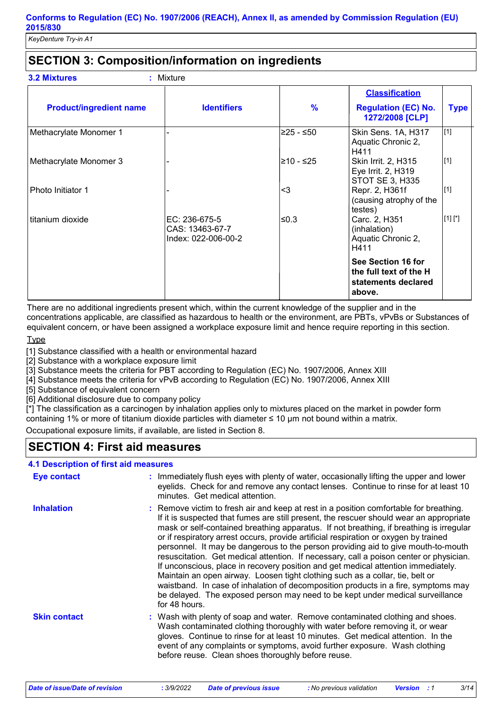### **SECTION 3: Composition/information on ingredients**

| <b>3.2 Mixtures</b><br>$:$ Mixture |
|------------------------------------|
|------------------------------------|

|                                |                                                         |               | <b>Classification</b>                                                         |             |
|--------------------------------|---------------------------------------------------------|---------------|-------------------------------------------------------------------------------|-------------|
| <b>Product/ingredient name</b> | <b>Identifiers</b>                                      | $\frac{9}{6}$ | <b>Regulation (EC) No.</b><br>1272/2008 [CLP]                                 | <b>Type</b> |
| Methacrylate Monomer 1         |                                                         | l≥25 - ≤50∶   | Skin Sens. 1A, H317<br>Aquatic Chronic 2,<br>H411                             | [1]         |
| Methacrylate Monomer 3         |                                                         | l≥10 - ≤25    | Skin Irrit. 2, H315<br>Eye Irrit. 2, H319<br><b>STOT SE 3, H335</b>           | [1]         |
| Photo Initiator 1              |                                                         | $3$           | Repr. 2, H361f<br>(causing atrophy of the<br>testes)                          | [1]         |
| titanium dioxide               | EC: 236-675-5<br>CAS: 13463-67-7<br>Index: 022-006-00-2 | l≤0.3         | Carc. 2, H351<br>(inhalation)<br>Aquatic Chronic 2,<br>H411                   | [1] [1]     |
|                                |                                                         |               | See Section 16 for<br>the full text of the H<br>statements declared<br>above. |             |

There are no additional ingredients present which, within the current knowledge of the supplier and in the concentrations applicable, are classified as hazardous to health or the environment, are PBTs, vPvBs or Substances of equivalent concern, or have been assigned a workplace exposure limit and hence require reporting in this section.

#### **Type**

[1] Substance classified with a health or environmental hazard

[2] Substance with a workplace exposure limit

[3] Substance meets the criteria for PBT according to Regulation (EC) No. 1907/2006, Annex XIII

[4] Substance meets the criteria for vPvB according to Regulation (EC) No. 1907/2006, Annex XIII

[5] Substance of equivalent concern

[6] Additional disclosure due to company policy

[\*] The classification as a carcinogen by inhalation applies only to mixtures placed on the market in powder form containing 1% or more of titanium dioxide particles with diameter ≤ 10 μm not bound within a matrix.

Occupational exposure limits, if available, are listed in Section 8.

### **SECTION 4: First aid measures**

### **4.1 Description of first aid measures**

| <b>Eye contact</b>  | : Immediately flush eyes with plenty of water, occasionally lifting the upper and lower<br>eyelids. Check for and remove any contact lenses. Continue to rinse for at least 10<br>minutes. Get medical attention.                                                                                                                                                                                                                                                                                                                                                                                                                                                                                                                                                                                                                                                                                                 |
|---------------------|-------------------------------------------------------------------------------------------------------------------------------------------------------------------------------------------------------------------------------------------------------------------------------------------------------------------------------------------------------------------------------------------------------------------------------------------------------------------------------------------------------------------------------------------------------------------------------------------------------------------------------------------------------------------------------------------------------------------------------------------------------------------------------------------------------------------------------------------------------------------------------------------------------------------|
| <b>Inhalation</b>   | : Remove victim to fresh air and keep at rest in a position comfortable for breathing.<br>If it is suspected that fumes are still present, the rescuer should wear an appropriate<br>mask or self-contained breathing apparatus. If not breathing, if breathing is irregular<br>or if respiratory arrest occurs, provide artificial respiration or oxygen by trained<br>personnel. It may be dangerous to the person providing aid to give mouth-to-mouth<br>resuscitation. Get medical attention. If necessary, call a poison center or physician.<br>If unconscious, place in recovery position and get medical attention immediately.<br>Maintain an open airway. Loosen tight clothing such as a collar, tie, belt or<br>waistband. In case of inhalation of decomposition products in a fire, symptoms may<br>be delayed. The exposed person may need to be kept under medical surveillance<br>for 48 hours. |
| <b>Skin contact</b> | : Wash with plenty of soap and water. Remove contaminated clothing and shoes.<br>Wash contaminated clothing thoroughly with water before removing it, or wear<br>gloves. Continue to rinse for at least 10 minutes. Get medical attention. In the<br>event of any complaints or symptoms, avoid further exposure. Wash clothing<br>before reuse. Clean shoes thoroughly before reuse.                                                                                                                                                                                                                                                                                                                                                                                                                                                                                                                             |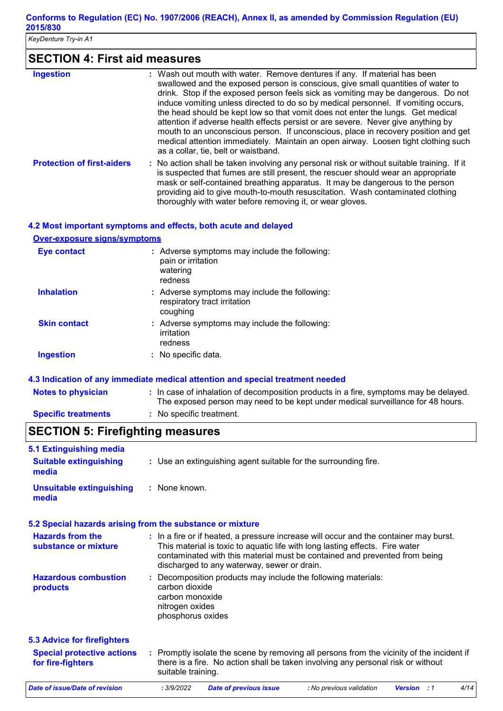*KeyDenture Try-in A1*

## **SECTION 4: First aid measures**

| <b>Ingestion</b>                  | : Wash out mouth with water. Remove dentures if any. If material has been<br>swallowed and the exposed person is conscious, give small quantities of water to<br>drink. Stop if the exposed person feels sick as vomiting may be dangerous. Do not<br>induce vomiting unless directed to do so by medical personnel. If vomiting occurs,<br>the head should be kept low so that vomit does not enter the lungs. Get medical<br>attention if adverse health effects persist or are severe. Never give anything by<br>mouth to an unconscious person. If unconscious, place in recovery position and get<br>medical attention immediately. Maintain an open airway. Loosen tight clothing such<br>as a collar, tie, belt or waistband. |
|-----------------------------------|--------------------------------------------------------------------------------------------------------------------------------------------------------------------------------------------------------------------------------------------------------------------------------------------------------------------------------------------------------------------------------------------------------------------------------------------------------------------------------------------------------------------------------------------------------------------------------------------------------------------------------------------------------------------------------------------------------------------------------------|
| <b>Protection of first-aiders</b> | : No action shall be taken involving any personal risk or without suitable training. If it<br>is suspected that fumes are still present, the rescuer should wear an appropriate<br>mask or self-contained breathing apparatus. It may be dangerous to the person<br>providing aid to give mouth-to-mouth resuscitation. Wash contaminated clothing<br>thoroughly with water before removing it, or wear gloves.                                                                                                                                                                                                                                                                                                                      |

#### **4.2 Most important symptoms and effects, both acute and delayed**

**Over-exposure signs/symptoms**

| <b>Eye contact</b>  | : Adverse symptoms may include the following:<br>pain or irritation<br>watering<br>redness |
|---------------------|--------------------------------------------------------------------------------------------|
| <b>Inhalation</b>   | : Adverse symptoms may include the following:<br>respiratory tract irritation<br>coughing  |
| <b>Skin contact</b> | : Adverse symptoms may include the following:<br>irritation<br>redness                     |
| <b>Ingestion</b>    | : No specific data.                                                                        |

#### **4.3 Indication of any immediate medical attention and special treatment needed**

| <b>Notes to physician</b>  | : In case of inhalation of decomposition products in a fire, symptoms may be delayed.<br>The exposed person may need to be kept under medical surveillance for 48 hours. |
|----------------------------|--------------------------------------------------------------------------------------------------------------------------------------------------------------------------|
| <b>Specific treatments</b> | : No specific treatment.                                                                                                                                                 |

### **SECTION 5: Firefighting measures**

| 5.1 Extinguishing media                                |                                                                                                                                                                                                                                                                                                    |  |
|--------------------------------------------------------|----------------------------------------------------------------------------------------------------------------------------------------------------------------------------------------------------------------------------------------------------------------------------------------------------|--|
| <b>Suitable extinguishing</b><br>media                 | : Use an extinguishing agent suitable for the surrounding fire.                                                                                                                                                                                                                                    |  |
| <b>Unsuitable extinguishing</b><br>media               | : None known.                                                                                                                                                                                                                                                                                      |  |
|                                                        | 5.2 Special hazards arising from the substance or mixture                                                                                                                                                                                                                                          |  |
| <b>Hazards from the</b><br>substance or mixture        | : In a fire or if heated, a pressure increase will occur and the container may burst.<br>This material is toxic to aquatic life with long lasting effects. Fire water<br>contaminated with this material must be contained and prevented from being<br>discharged to any waterway, sewer or drain. |  |
| <b>Hazardous combustion</b><br>products                | : Decomposition products may include the following materials:<br>carbon dioxide<br>carbon monoxide<br>nitrogen oxides<br>phosphorus oxides                                                                                                                                                         |  |
| <b>5.3 Advice for firefighters</b>                     |                                                                                                                                                                                                                                                                                                    |  |
| <b>Special protective actions</b><br>for fire-fighters | : Promptly isolate the scene by removing all persons from the vicinity of the incident if<br>there is a fire. No action shall be taken involving any personal risk or without<br>suitable training.                                                                                                |  |
| Date of issue/Date of revision                         | 4/14<br>: 3/9/2022<br><b>Date of previous issue</b><br>: No previous validation<br><b>Version</b> : 1                                                                                                                                                                                              |  |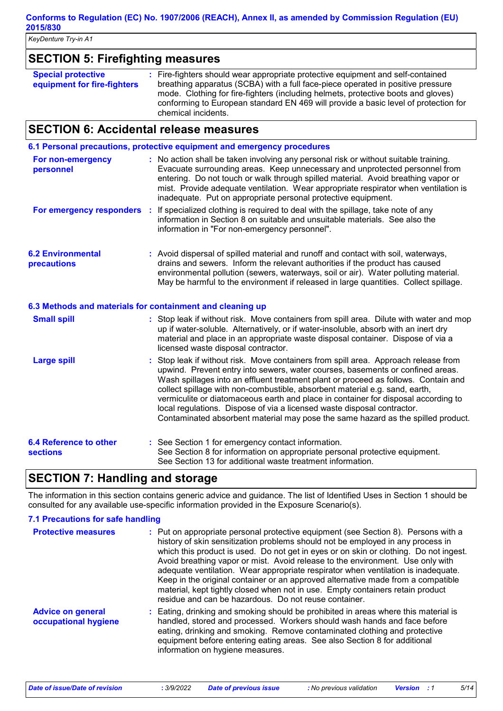*KeyDenture Try-in A1*

### **SECTION 5: Firefighting measures**

| <b>Special protective</b><br>equipment for fire-fighters | : Fire-fighters should wear appropriate protective equipment and self-contained<br>breathing apparatus (SCBA) with a full face-piece operated in positive pressure<br>mode. Clothing for fire-fighters (including helmets, protective boots and gloves)<br>conforming to European standard EN 469 will provide a basic level of protection for |
|----------------------------------------------------------|------------------------------------------------------------------------------------------------------------------------------------------------------------------------------------------------------------------------------------------------------------------------------------------------------------------------------------------------|
|                                                          | chemical incidents.                                                                                                                                                                                                                                                                                                                            |

### **SECTION 6: Accidental release measures**

|                                                  | 6.1 Personal precautions, protective equipment and emergency procedures                                                                                                                                                                                                                                                                                                                                                                                                                                                                                                                       |
|--------------------------------------------------|-----------------------------------------------------------------------------------------------------------------------------------------------------------------------------------------------------------------------------------------------------------------------------------------------------------------------------------------------------------------------------------------------------------------------------------------------------------------------------------------------------------------------------------------------------------------------------------------------|
| For non-emergency<br>personnel                   | : No action shall be taken involving any personal risk or without suitable training.<br>Evacuate surrounding areas. Keep unnecessary and unprotected personnel from<br>entering. Do not touch or walk through spilled material. Avoid breathing vapor or<br>mist. Provide adequate ventilation. Wear appropriate respirator when ventilation is<br>inadequate. Put on appropriate personal protective equipment.                                                                                                                                                                              |
| For emergency responders :                       | If specialized clothing is required to deal with the spillage, take note of any<br>information in Section 8 on suitable and unsuitable materials. See also the<br>information in "For non-emergency personnel".                                                                                                                                                                                                                                                                                                                                                                               |
| <b>6.2 Environmental</b><br>precautions          | : Avoid dispersal of spilled material and runoff and contact with soil, waterways,<br>drains and sewers. Inform the relevant authorities if the product has caused<br>environmental pollution (sewers, waterways, soil or air). Water polluting material.<br>May be harmful to the environment if released in large quantities. Collect spillage.                                                                                                                                                                                                                                             |
|                                                  | 6.3 Methods and materials for containment and cleaning up                                                                                                                                                                                                                                                                                                                                                                                                                                                                                                                                     |
| <b>Small spill</b>                               | : Stop leak if without risk. Move containers from spill area. Dilute with water and mop<br>up if water-soluble. Alternatively, or if water-insoluble, absorb with an inert dry<br>material and place in an appropriate waste disposal container. Dispose of via a<br>licensed waste disposal contractor.                                                                                                                                                                                                                                                                                      |
| <b>Large spill</b>                               | Stop leak if without risk. Move containers from spill area. Approach release from<br>upwind. Prevent entry into sewers, water courses, basements or confined areas.<br>Wash spillages into an effluent treatment plant or proceed as follows. Contain and<br>collect spillage with non-combustible, absorbent material e.g. sand, earth,<br>vermiculite or diatomaceous earth and place in container for disposal according to<br>local regulations. Dispose of via a licensed waste disposal contractor.<br>Contaminated absorbent material may pose the same hazard as the spilled product. |
| <b>6.4 Reference to other</b><br><b>sections</b> | : See Section 1 for emergency contact information.<br>See Section 8 for information on appropriate personal protective equipment.<br>See Section 13 for additional waste treatment information.                                                                                                                                                                                                                                                                                                                                                                                               |

### **SECTION 7: Handling and storage**

The information in this section contains generic advice and guidance. The list of Identified Uses in Section 1 should be consulted for any available use-specific information provided in the Exposure Scenario(s).

### **7.1 Precautions for safe handling**

| <b>Protective measures</b>                       | : Put on appropriate personal protective equipment (see Section 8). Persons with a<br>history of skin sensitization problems should not be employed in any process in<br>which this product is used. Do not get in eyes or on skin or clothing. Do not ingest.<br>Avoid breathing vapor or mist. Avoid release to the environment. Use only with<br>adequate ventilation. Wear appropriate respirator when ventilation is inadequate.<br>Keep in the original container or an approved alternative made from a compatible<br>material, kept tightly closed when not in use. Empty containers retain product<br>residue and can be hazardous. Do not reuse container. |
|--------------------------------------------------|----------------------------------------------------------------------------------------------------------------------------------------------------------------------------------------------------------------------------------------------------------------------------------------------------------------------------------------------------------------------------------------------------------------------------------------------------------------------------------------------------------------------------------------------------------------------------------------------------------------------------------------------------------------------|
| <b>Advice on general</b><br>occupational hygiene | : Eating, drinking and smoking should be prohibited in areas where this material is<br>handled, stored and processed. Workers should wash hands and face before<br>eating, drinking and smoking. Remove contaminated clothing and protective<br>equipment before entering eating areas. See also Section 8 for additional<br>information on hygiene measures.                                                                                                                                                                                                                                                                                                        |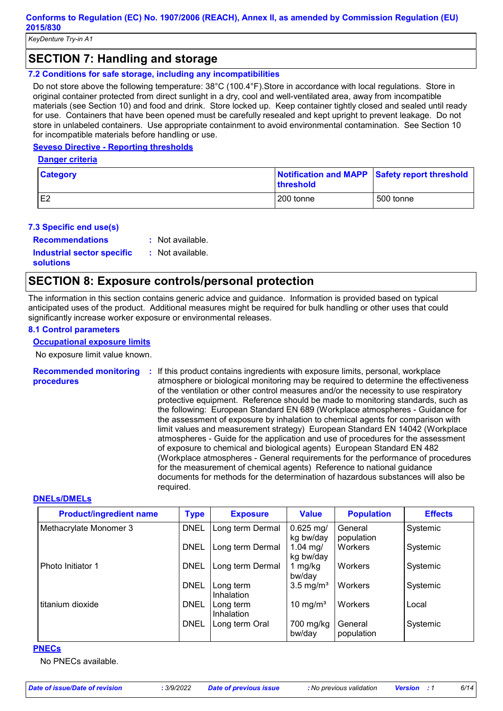### **SECTION 7: Handling and storage**

#### **7.2 Conditions for safe storage, including any incompatibilities**

Do not store above the following temperature: 38°C (100.4°F).Store in accordance with local regulations. Store in original container protected from direct sunlight in a dry, cool and well-ventilated area, away from incompatible materials (see Section 10) and food and drink. Store locked up. Keep container tightly closed and sealed until ready for use. Containers that have been opened must be carefully resealed and kept upright to prevent leakage. Do not store in unlabeled containers. Use appropriate containment to avoid environmental contamination. See Section 10 for incompatible materials before handling or use.

#### **Seveso Directive - Reporting thresholds**

**Danger criteria**

| <b>Category</b> | Notification and MAPP Safety report threshold<br><b>threshold</b> |           |
|-----------------|-------------------------------------------------------------------|-----------|
| E <sub>2</sub>  | 200 tonne                                                         | 500 tonne |

#### **7.3 Specific end use(s)**

**Recommendations :**

: Not available.

**Industrial sector specific : solutions**

: Not available.

### **SECTION 8: Exposure controls/personal protection**

The information in this section contains generic advice and guidance. Information is provided based on typical anticipated uses of the product. Additional measures might be required for bulk handling or other uses that could significantly increase worker exposure or environmental releases.

#### **8.1 Control parameters**

#### **Occupational exposure limits**

No exposure limit value known.

**Recommended monitoring procedures :** If this product contains ingredients with exposure limits, personal, workplace atmosphere or biological monitoring may be required to determine the effectiveness of the ventilation or other control measures and/or the necessity to use respiratory protective equipment. Reference should be made to monitoring standards, such as the following: European Standard EN 689 (Workplace atmospheres - Guidance for the assessment of exposure by inhalation to chemical agents for comparison with limit values and measurement strategy) European Standard EN 14042 (Workplace atmospheres - Guide for the application and use of procedures for the assessment of exposure to chemical and biological agents) European Standard EN 482 (Workplace atmospheres - General requirements for the performance of procedures for the measurement of chemical agents) Reference to national guidance documents for methods for the determination of hazardous substances will also be required.

#### **DNELs/DMELs**

| <b>Product/ingredient name</b> | <b>Type</b> | <b>Exposure</b>         | <b>Value</b>             | <b>Population</b>     | <b>Effects</b> |
|--------------------------------|-------------|-------------------------|--------------------------|-----------------------|----------------|
| Methacrylate Monomer 3         | <b>DNEL</b> | Long term Dermal        | $0.625$ mg/<br>kg bw/day | General<br>population | Systemic       |
|                                | <b>DNEL</b> | Long term Dermal        | 1.04 mg/<br>kg bw/day    | Workers               | Systemic       |
| Photo Initiator 1              | <b>DNEL</b> | Long term Dermal        | 1 mg/kg<br>bw/day        | Workers               | Systemic       |
|                                | <b>DNEL</b> | Long term<br>Inhalation | $3.5 \text{ mg/m}^3$     | Workers               | Systemic       |
| titanium dioxide               | <b>DNEL</b> | Long term<br>Inhalation | 10 mg/m <sup>3</sup>     | Workers               | Local          |
|                                | <b>DNEL</b> | Long term Oral          | 700 mg/kg<br>bw/day      | General<br>population | Systemic       |

#### **PNECs**

No PNECs available.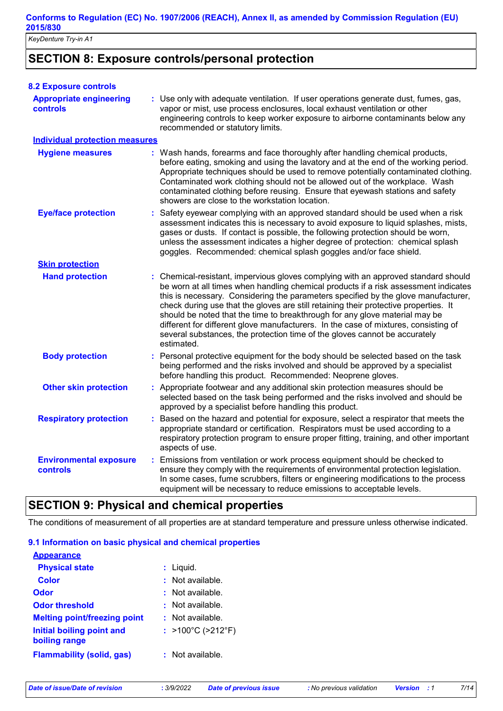*KeyDenture Try-in A1*

### **SECTION 8: Exposure controls/personal protection**

| <b>8.2 Exposure controls</b>               |                                                                                                                                                                                                                                                                                                                                                                                                                                                                                                                                                                                                                           |
|--------------------------------------------|---------------------------------------------------------------------------------------------------------------------------------------------------------------------------------------------------------------------------------------------------------------------------------------------------------------------------------------------------------------------------------------------------------------------------------------------------------------------------------------------------------------------------------------------------------------------------------------------------------------------------|
| <b>Appropriate engineering</b><br>controls | : Use only with adequate ventilation. If user operations generate dust, fumes, gas,<br>vapor or mist, use process enclosures, local exhaust ventilation or other<br>engineering controls to keep worker exposure to airborne contaminants below any<br>recommended or statutory limits.                                                                                                                                                                                                                                                                                                                                   |
| <b>Individual protection measures</b>      |                                                                                                                                                                                                                                                                                                                                                                                                                                                                                                                                                                                                                           |
| <b>Hygiene measures</b>                    | : Wash hands, forearms and face thoroughly after handling chemical products,<br>before eating, smoking and using the lavatory and at the end of the working period.<br>Appropriate techniques should be used to remove potentially contaminated clothing.<br>Contaminated work clothing should not be allowed out of the workplace. Wash<br>contaminated clothing before reusing. Ensure that eyewash stations and safety<br>showers are close to the workstation location.                                                                                                                                               |
| <b>Eye/face protection</b>                 | Safety eyewear complying with an approved standard should be used when a risk<br>t.<br>assessment indicates this is necessary to avoid exposure to liquid splashes, mists,<br>gases or dusts. If contact is possible, the following protection should be worn,<br>unless the assessment indicates a higher degree of protection: chemical splash<br>goggles. Recommended: chemical splash goggles and/or face shield.                                                                                                                                                                                                     |
| <b>Skin protection</b>                     |                                                                                                                                                                                                                                                                                                                                                                                                                                                                                                                                                                                                                           |
| <b>Hand protection</b>                     | : Chemical-resistant, impervious gloves complying with an approved standard should<br>be worn at all times when handling chemical products if a risk assessment indicates<br>this is necessary. Considering the parameters specified by the glove manufacturer,<br>check during use that the gloves are still retaining their protective properties. It<br>should be noted that the time to breakthrough for any glove material may be<br>different for different glove manufacturers. In the case of mixtures, consisting of<br>several substances, the protection time of the gloves cannot be accurately<br>estimated. |
| <b>Body protection</b>                     | : Personal protective equipment for the body should be selected based on the task<br>being performed and the risks involved and should be approved by a specialist<br>before handling this product. Recommended: Neoprene gloves.                                                                                                                                                                                                                                                                                                                                                                                         |
| <b>Other skin protection</b>               | : Appropriate footwear and any additional skin protection measures should be<br>selected based on the task being performed and the risks involved and should be<br>approved by a specialist before handling this product.                                                                                                                                                                                                                                                                                                                                                                                                 |
| <b>Respiratory protection</b>              | : Based on the hazard and potential for exposure, select a respirator that meets the<br>appropriate standard or certification. Respirators must be used according to a<br>respiratory protection program to ensure proper fitting, training, and other important<br>aspects of use.                                                                                                                                                                                                                                                                                                                                       |
| <b>Environmental exposure</b><br>controls  | : Emissions from ventilation or work process equipment should be checked to<br>ensure they comply with the requirements of environmental protection legislation.<br>In some cases, fume scrubbers, filters or engineering modifications to the process<br>equipment will be necessary to reduce emissions to acceptable levels.                                                                                                                                                                                                                                                                                           |

### **SECTION 9: Physical and chemical properties**

The conditions of measurement of all properties are at standard temperature and pressure unless otherwise indicated.

#### **9.1 Information on basic physical and chemical properties**

| <b>Appearance</b>                                 |                                        |
|---------------------------------------------------|----------------------------------------|
| <b>Physical state</b>                             | : Liquid.                              |
| Color                                             | $:$ Not available.                     |
| Odor                                              | $:$ Not available.                     |
| <b>Odor threshold</b>                             | $\pm$ Not available.                   |
| <b>Melting point/freezing point</b>               | $:$ Not available.                     |
| <b>Initial boiling point and</b><br>boiling range | : $>100^{\circ}$ C ( $>212^{\circ}$ F) |
| <b>Flammability (solid, gas)</b>                  | $:$ Not available.                     |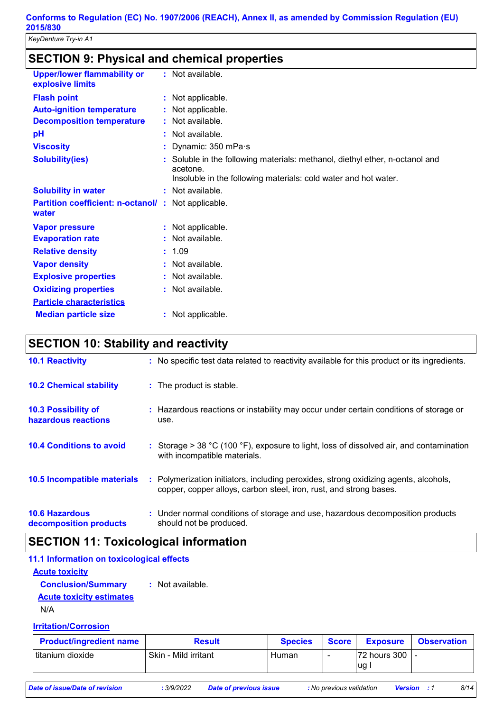| <b>SECTION 9: Physical and chemical properties</b>                 |                                                                                                                                                             |
|--------------------------------------------------------------------|-------------------------------------------------------------------------------------------------------------------------------------------------------------|
| <b>Upper/lower flammability or</b><br>explosive limits             | : Not available.                                                                                                                                            |
| <b>Flash point</b>                                                 | : Not applicable.                                                                                                                                           |
| <b>Auto-ignition temperature</b>                                   | : Not applicable.                                                                                                                                           |
| <b>Decomposition temperature</b>                                   | : Not available.                                                                                                                                            |
| pH                                                                 | : Not available.                                                                                                                                            |
| <b>Viscosity</b>                                                   | : Dynamic: $350$ mPa $\cdot$ s                                                                                                                              |
| <b>Solubility(ies)</b>                                             | : Soluble in the following materials: methanol, diethyl ether, n-octanol and<br>acetone.<br>Insoluble in the following materials: cold water and hot water. |
| <b>Solubility in water</b>                                         | : Not available.                                                                                                                                            |
| <b>Partition coefficient: n-octanol/: Not applicable.</b><br>water |                                                                                                                                                             |
| <b>Vapor pressure</b>                                              | : Not applicable.                                                                                                                                           |
| <b>Evaporation rate</b>                                            | : Not available.                                                                                                                                            |
| <b>Relative density</b>                                            | : 1.09                                                                                                                                                      |
| <b>Vapor density</b>                                               | : Not available.                                                                                                                                            |
| <b>Explosive properties</b>                                        | : Not available.                                                                                                                                            |
| <b>Oxidizing properties</b>                                        | : Not available.                                                                                                                                            |
| <b>Particle characteristics</b>                                    |                                                                                                                                                             |

### **Median particle size :** Not applicable.

### **SECTION 10: Stability and reactivity**

| <b>10.1 Reactivity</b>                            | : No specific test data related to reactivity available for this product or its ingredients.                                                               |
|---------------------------------------------------|------------------------------------------------------------------------------------------------------------------------------------------------------------|
| <b>10.2 Chemical stability</b>                    | : The product is stable.                                                                                                                                   |
| <b>10.3 Possibility of</b><br>hazardous reactions | : Hazardous reactions or instability may occur under certain conditions of storage or<br>use.                                                              |
| <b>10.4 Conditions to avoid</b>                   | : Storage > 38 °C (100 °F), exposure to light, loss of dissolved air, and contamination<br>with incompatible materials.                                    |
| <b>10.5 Incompatible materials</b>                | : Polymerization initiators, including peroxides, strong oxidizing agents, alcohols,<br>copper, copper alloys, carbon steel, iron, rust, and strong bases. |
| <b>10.6 Hazardous</b><br>decomposition products   | : Under normal conditions of storage and use, hazardous decomposition products<br>should not be produced.                                                  |

### **SECTION 11: Toxicological information**

| 11.1 Information on toxicological effects |                  |  |  |
|-------------------------------------------|------------------|--|--|
| <b>Acute toxicity</b>                     |                  |  |  |
| <b>Conclusion/Summary</b>                 | : Not available. |  |  |
| <b>Acute toxicity estimates</b>           |                  |  |  |
|                                           |                  |  |  |

N/A

### **Irritation/Corrosion**

| <b>Product/ingredient name</b> | Result               | <b>Species</b> | Score                    | <b>Exposure</b>       | <b>Observation</b> |
|--------------------------------|----------------------|----------------|--------------------------|-----------------------|--------------------|
| titanium dioxide               | Skin - Mild irritant | Human          | $\overline{\phantom{0}}$ | 72 hours 300 L-<br>ug |                    |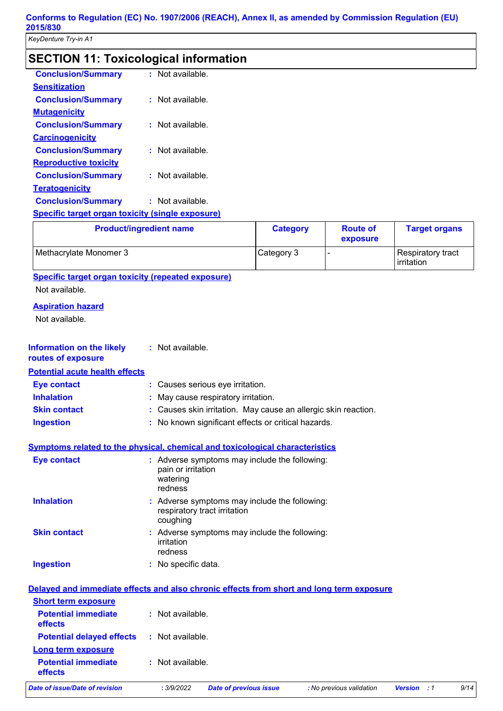## **SECTION 11: Toxicological information**

| <b>Conclusion/Summary</b>                               | $:$ Not available. |
|---------------------------------------------------------|--------------------|
| <b>Sensitization</b>                                    |                    |
| <b>Conclusion/Summary</b>                               | : Not available.   |
| <b>Mutagenicity</b>                                     |                    |
| <b>Conclusion/Summary</b>                               | $:$ Not available. |
| <b>Carcinogenicity</b>                                  |                    |
| <b>Conclusion/Summary</b>                               | $:$ Not available. |
| <b>Reproductive toxicity</b>                            |                    |
| <b>Conclusion/Summary</b>                               | Not available.     |
| <b>Teratogenicity</b>                                   |                    |
| <b>Conclusion/Summary</b>                               | $:$ Not available. |
| <b>Specific target organ toxicity (single exposure)</b> |                    |

| <b>Product/ingredient name</b> | <b>Category</b> | <b>Route of</b><br>exposure | <b>Target organs</b>            |
|--------------------------------|-----------------|-----------------------------|---------------------------------|
| Methacrylate Monomer 3         | Category 3      |                             | Respiratory tract<br>irritation |

**Specific target organ toxicity (repeated exposure)**

Not available.

### **Aspiration hazard**

Not available.

| <b>Information on the likely</b><br>routes of exposure                                   | : Not available.                          |                                                                               |                          |                |                |      |
|------------------------------------------------------------------------------------------|-------------------------------------------|-------------------------------------------------------------------------------|--------------------------|----------------|----------------|------|
| <b>Potential acute health effects</b>                                                    |                                           |                                                                               |                          |                |                |      |
| <b>Eye contact</b>                                                                       |                                           | : Causes serious eye irritation.                                              |                          |                |                |      |
| <b>Inhalation</b>                                                                        |                                           | May cause respiratory irritation.                                             |                          |                |                |      |
| <b>Skin contact</b>                                                                      |                                           | Causes skin irritation. May cause an allergic skin reaction.                  |                          |                |                |      |
| <b>Ingestion</b>                                                                         |                                           | : No known significant effects or critical hazards.                           |                          |                |                |      |
| <b>Symptoms related to the physical, chemical and toxicological characteristics</b>      |                                           |                                                                               |                          |                |                |      |
| <b>Eye contact</b>                                                                       | pain or irritation<br>watering<br>redness | : Adverse symptoms may include the following:                                 |                          |                |                |      |
| <b>Inhalation</b>                                                                        | coughing                                  | : Adverse symptoms may include the following:<br>respiratory tract irritation |                          |                |                |      |
| <b>Skin contact</b>                                                                      | irritation<br>redness                     | Adverse symptoms may include the following:                                   |                          |                |                |      |
| <b>Ingestion</b>                                                                         | : No specific data.                       |                                                                               |                          |                |                |      |
| Delayed and immediate effects and also chronic effects from short and long term exposure |                                           |                                                                               |                          |                |                |      |
| <b>Short term exposure</b>                                                               |                                           |                                                                               |                          |                |                |      |
| <b>Potential immediate</b><br>effects                                                    | : Not available.                          |                                                                               |                          |                |                |      |
| <b>Potential delayed effects</b>                                                         | : Not available.                          |                                                                               |                          |                |                |      |
| <b>Long term exposure</b>                                                                |                                           |                                                                               |                          |                |                |      |
| <b>Potential immediate</b><br>effects                                                    | : Not available.                          |                                                                               |                          |                |                |      |
| <b>Date of issue/Date of revision</b>                                                    | : 3/9/2022                                | <b>Date of previous issue</b>                                                 | : No previous validation | <b>Version</b> | $\therefore$ 1 | 9/14 |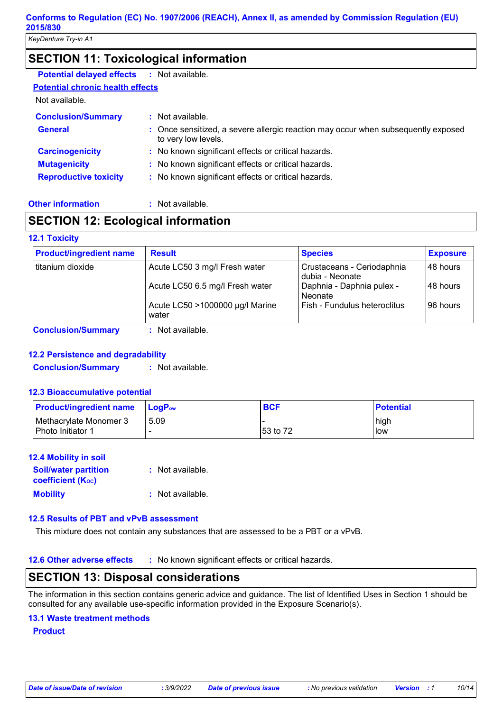### **SECTION 11: Toxicological information**

| <b>Potential delayed effects</b>        | : Not available.                                                                                         |
|-----------------------------------------|----------------------------------------------------------------------------------------------------------|
| <b>Potential chronic health effects</b> |                                                                                                          |
| Not available.                          |                                                                                                          |
| <b>Conclusion/Summary</b>               | : Not available.                                                                                         |
| <b>General</b>                          | : Once sensitized, a severe allergic reaction may occur when subsequently exposed<br>to very low levels. |
| <b>Carcinogenicity</b>                  | : No known significant effects or critical hazards.                                                      |
| <b>Mutagenicity</b>                     | : No known significant effects or critical hazards.                                                      |
| <b>Reproductive toxicity</b>            | : No known significant effects or critical hazards.                                                      |
|                                         |                                                                                                          |

#### **Other information :**

: Not available.

### **SECTION 12: Ecological information**

#### **12.1 Toxicity**

|                   |                                          | <b>Species</b>                                | <b>Exposure</b> |
|-------------------|------------------------------------------|-----------------------------------------------|-----------------|
| Ititanium dioxide | Acute LC50 3 mg/l Fresh water            | Crustaceans - Ceriodaphnia<br>dubia - Neonate | l 48 hours      |
|                   | Acute LC50 6.5 mg/l Fresh water          | Daphnia - Daphnia pulex -<br>Neonate          | 48 hours        |
|                   | Acute LC50 >1000000 µg/l Marine<br>water | Fish - Fundulus heteroclitus                  | 196 hours       |

**Conclusion/Summary :** Not available.

#### **12.2 Persistence and degradability**

**Conclusion/Summary :** Not available.

#### **12.3 Bioaccumulative potential**

| <b>Product/ingredient name</b>              | $\mathsf{LocP}_\mathsf{ow}$ | <b>BCF</b> | <b>Potential</b> |
|---------------------------------------------|-----------------------------|------------|------------------|
| Methacrylate Monomer 3<br>Photo Initiator 1 | 5.09                        | l53 to 72  | high<br>low      |

#### **12.4 Mobility in soil**

| <b>Soil/water partition</b> | : Not available. |
|-----------------------------|------------------|
| <b>coefficient (Koc)</b>    |                  |
| <b>Mobility</b>             | : Not available. |

#### **12.5 Results of PBT and vPvB assessment**

This mixture does not contain any substances that are assessed to be a PBT or a vPvB.

**12.6 Other adverse effects** : No known significant effects or critical hazards.

### **SECTION 13: Disposal considerations**

The information in this section contains generic advice and guidance. The list of Identified Uses in Section 1 should be consulted for any available use-specific information provided in the Exposure Scenario(s).

#### **13.1 Waste treatment methods**

**Product**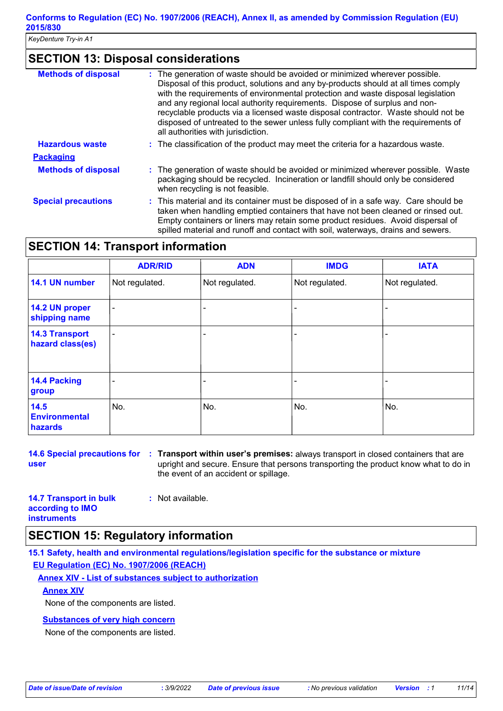### **SECTION 13: Disposal considerations**

| <b>Methods of disposal</b> | The generation of waste should be avoided or minimized wherever possible.<br>Disposal of this product, solutions and any by-products should at all times comply<br>with the requirements of environmental protection and waste disposal legislation<br>and any regional local authority requirements. Dispose of surplus and non-<br>recyclable products via a licensed waste disposal contractor. Waste should not be<br>disposed of untreated to the sewer unless fully compliant with the requirements of<br>all authorities with jurisdiction. |
|----------------------------|----------------------------------------------------------------------------------------------------------------------------------------------------------------------------------------------------------------------------------------------------------------------------------------------------------------------------------------------------------------------------------------------------------------------------------------------------------------------------------------------------------------------------------------------------|
| <b>Hazardous waste</b>     | : The classification of the product may meet the criteria for a hazardous waste.                                                                                                                                                                                                                                                                                                                                                                                                                                                                   |
| <b>Packaging</b>           |                                                                                                                                                                                                                                                                                                                                                                                                                                                                                                                                                    |
| <b>Methods of disposal</b> | : The generation of waste should be avoided or minimized wherever possible. Waste<br>packaging should be recycled. Incineration or landfill should only be considered<br>when recycling is not feasible.                                                                                                                                                                                                                                                                                                                                           |
| <b>Special precautions</b> | : This material and its container must be disposed of in a safe way. Care should be<br>taken when handling emptied containers that have not been cleaned or rinsed out.<br>Empty containers or liners may retain some product residues. Avoid dispersal of<br>spilled material and runoff and contact with soil, waterways, drains and sewers.                                                                                                                                                                                                     |

### **SECTION 14: Transport information**

|                                           | <b>ADR/RID</b> | <b>ADN</b>     | <b>IMDG</b>    | <b>IATA</b>    |
|-------------------------------------------|----------------|----------------|----------------|----------------|
| 14.1 UN number                            | Not regulated. | Not regulated. | Not regulated. | Not regulated. |
| 14.2 UN proper<br>shipping name           | ۰              |                |                |                |
| <b>14.3 Transport</b><br>hazard class(es) | -              |                |                |                |
| 14.4 Packing<br>group                     |                |                |                |                |
| 14.5<br><b>Environmental</b><br>hazards   | No.            | No.            | No.            | No.            |

**14.6 Special precautions for Transport within user's premises:** always transport in closed containers that are **: user** upright and secure. Ensure that persons transporting the product know what to do in the event of an accident or spillage.

| <b>14.7 Transport in bulk</b> | : Not available. |
|-------------------------------|------------------|
| according to IMO              |                  |
| <b>instruments</b>            |                  |

### **SECTION 15: Regulatory information**

**15.1 Safety, health and environmental regulations/legislation specific for the substance or mixture EU Regulation (EC) No. 1907/2006 (REACH)**

**Annex XIV - List of substances subject to authorization**

### **Annex XIV**

None of the components are listed.

### **Substances of very high concern**

None of the components are listed.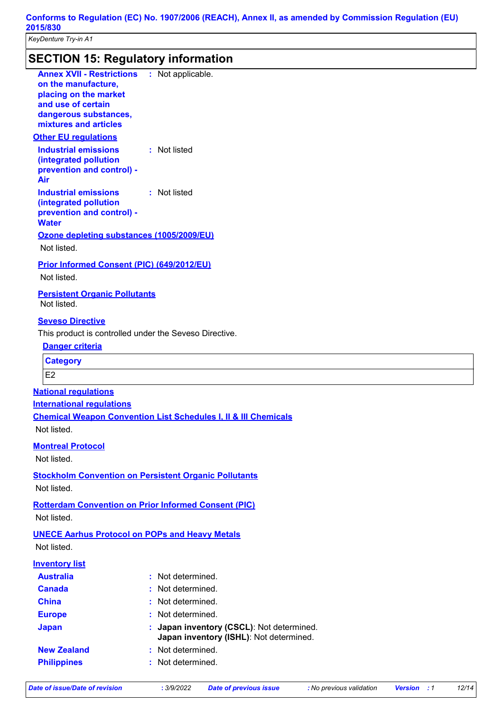### **SECTION 15: Regulatory information**

| <b>Annex XVII - Restrictions : Not applicable.</b><br>on the manufacture,<br>placing on the market<br>and use of certain<br>dangerous substances,<br>mixtures and articles<br><b>Other EU regulations</b> |                                                                                    |
|-----------------------------------------------------------------------------------------------------------------------------------------------------------------------------------------------------------|------------------------------------------------------------------------------------|
| <b>Industrial emissions</b><br>(integrated pollution<br>prevention and control) -<br>Air                                                                                                                  | : Not listed                                                                       |
| <b>Industrial emissions</b><br>(integrated pollution<br>prevention and control) -<br><b>Water</b>                                                                                                         | : Not listed                                                                       |
| Ozone depleting substances (1005/2009/EU)<br>Not listed.                                                                                                                                                  |                                                                                    |
| Prior Informed Consent (PIC) (649/2012/EU)<br>Not listed.                                                                                                                                                 |                                                                                    |
| <b>Persistent Organic Pollutants</b><br>Not listed.                                                                                                                                                       |                                                                                    |
| <b>Seveso Directive</b>                                                                                                                                                                                   |                                                                                    |
| This product is controlled under the Seveso Directive.                                                                                                                                                    |                                                                                    |
| Danger criteria                                                                                                                                                                                           |                                                                                    |
| <b>Category</b>                                                                                                                                                                                           |                                                                                    |
| E <sub>2</sub>                                                                                                                                                                                            |                                                                                    |
| <b>National requlations</b>                                                                                                                                                                               |                                                                                    |
| <b>International requlations</b>                                                                                                                                                                          |                                                                                    |
|                                                                                                                                                                                                           | <b>Chemical Weapon Convention List Schedules I, II &amp; III Chemicals</b>         |
| Not listed.                                                                                                                                                                                               |                                                                                    |
| <b>Montreal Protocol</b><br>Not listed.                                                                                                                                                                   |                                                                                    |
| <b>Stockholm Convention on Persistent Organic Pollutants</b><br>Not listed.                                                                                                                               |                                                                                    |
|                                                                                                                                                                                                           |                                                                                    |
| <b>Rotterdam Convention on Prior Informed Consent (PIC)</b><br>Not listed.                                                                                                                                |                                                                                    |
| <b>UNECE Aarhus Protocol on POPs and Heavy Metals</b>                                                                                                                                                     |                                                                                    |
| Not listed.                                                                                                                                                                                               |                                                                                    |
| <b>Inventory list</b>                                                                                                                                                                                     |                                                                                    |
| <b>Australia</b>                                                                                                                                                                                          | Not determined.<br>ŧ.                                                              |
| <b>Canada</b>                                                                                                                                                                                             | Not determined.                                                                    |
| <b>China</b>                                                                                                                                                                                              | Not determined.                                                                    |
| <b>Europe</b>                                                                                                                                                                                             | Not determined.                                                                    |
| <b>Japan</b>                                                                                                                                                                                              | Japan inventory (CSCL): Not determined.<br>Japan inventory (ISHL): Not determined. |
| <b>New Zealand</b>                                                                                                                                                                                        | Not determined.                                                                    |
| <b>Philippines</b>                                                                                                                                                                                        | Not determined.                                                                    |
|                                                                                                                                                                                                           |                                                                                    |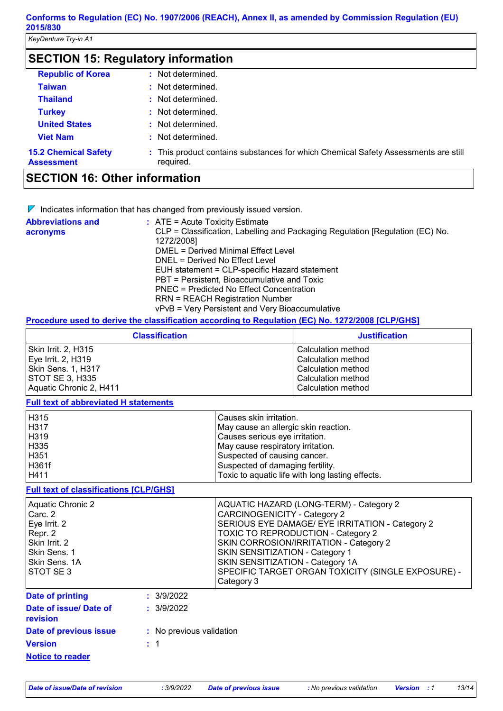*KeyDenture Try-in A1*

| <b>SECTION 15: Regulatory information</b>        |                                                                                                 |  |
|--------------------------------------------------|-------------------------------------------------------------------------------------------------|--|
| <b>Republic of Korea</b>                         | : Not determined.                                                                               |  |
| <b>Taiwan</b>                                    | : Not determined.                                                                               |  |
| <b>Thailand</b>                                  | : Not determined.                                                                               |  |
| <b>Turkey</b>                                    | : Not determined.                                                                               |  |
| <b>United States</b>                             | : Not determined.                                                                               |  |
| <b>Viet Nam</b>                                  | Not determined.<br>÷.                                                                           |  |
| <b>15.2 Chemical Safety</b><br><b>Assessment</b> | : This product contains substances for which Chemical Safety Assessments are still<br>required. |  |

### **SECTION 16: Other information**

 $\nabla$  Indicates information that has changed from previously issued version.

| <b>Abbreviations and</b> | $\therefore$ ATE = Acute Toxicity Estimate                                                  |
|--------------------------|---------------------------------------------------------------------------------------------|
| acronyms                 | CLP = Classification, Labelling and Packaging Regulation [Regulation (EC) No.<br>1272/2008] |
|                          | DMEL = Derived Minimal Effect Level                                                         |
|                          | DNEL = Derived No Effect Level                                                              |
|                          | EUH statement = CLP-specific Hazard statement                                               |
|                          | PBT = Persistent, Bioaccumulative and Toxic                                                 |
|                          | PNEC = Predicted No Effect Concentration                                                    |
|                          | <b>RRN = REACH Registration Number</b>                                                      |
|                          | vPvB = Very Persistent and Very Bioaccumulative                                             |

#### **Procedure used to derive the classification according to Regulation (EC) No. 1272/2008 [CLP/GHS]**

| <b>Classification</b>   | <b>Justification</b> |
|-------------------------|----------------------|
| Skin Irrit. 2, H315     | Calculation method   |
| Eye Irrit. 2, H319      | Calculation method   |
| Skin Sens. 1, H317      | Calculation method   |
| <b>STOT SE 3, H335</b>  | Calculation method   |
| Aquatic Chronic 2, H411 | Calculation method   |

### **Full text of abbreviated H statements**

| H315  | Causes skin irritation.                          |
|-------|--------------------------------------------------|
| H317  | May cause an allergic skin reaction.             |
| H319  | Causes serious eye irritation.                   |
| H335  | May cause respiratory irritation.                |
| H351  | Suspected of causing cancer.                     |
| H361f | Suspected of damaging fertility.                 |
| H411  | Toxic to aquatic life with long lasting effects. |

### **Full text of classifications [CLP/GHS]**

| Aquatic Chronic 2<br>Carc. 2<br>Eye Irrit. 2<br>Repr. 2<br>Skin Irrit. 2<br>Skin Sens. 1<br>Skin Sens. 1A<br>ISTOT SE 3 |            | AQUATIC HAZARD (LONG-TERM) - Category 2<br><b>CARCINOGENICITY - Category 2</b><br>SERIOUS EYE DAMAGE/ EYE IRRITATION - Category 2<br><b>TOXIC TO REPRODUCTION - Category 2</b><br>SKIN CORROSION/IRRITATION - Category 2<br>SKIN SENSITIZATION - Category 1<br>SKIN SENSITIZATION - Category 1A<br>SPECIFIC TARGET ORGAN TOXICITY (SINGLE EXPOSURE) -<br>Category 3 |
|-------------------------------------------------------------------------------------------------------------------------|------------|---------------------------------------------------------------------------------------------------------------------------------------------------------------------------------------------------------------------------------------------------------------------------------------------------------------------------------------------------------------------|
| Date of printing                                                                                                        | : 3/9/2022 |                                                                                                                                                                                                                                                                                                                                                                     |
| Date of issue/ Date of                                                                                                  | : 3/9/2022 |                                                                                                                                                                                                                                                                                                                                                                     |

| revision                |                          |
|-------------------------|--------------------------|
| Date of previous issue  | : No previous validation |
| <b>Version</b>          | $\pm$ 1                  |
| <b>Notice to reader</b> |                          |